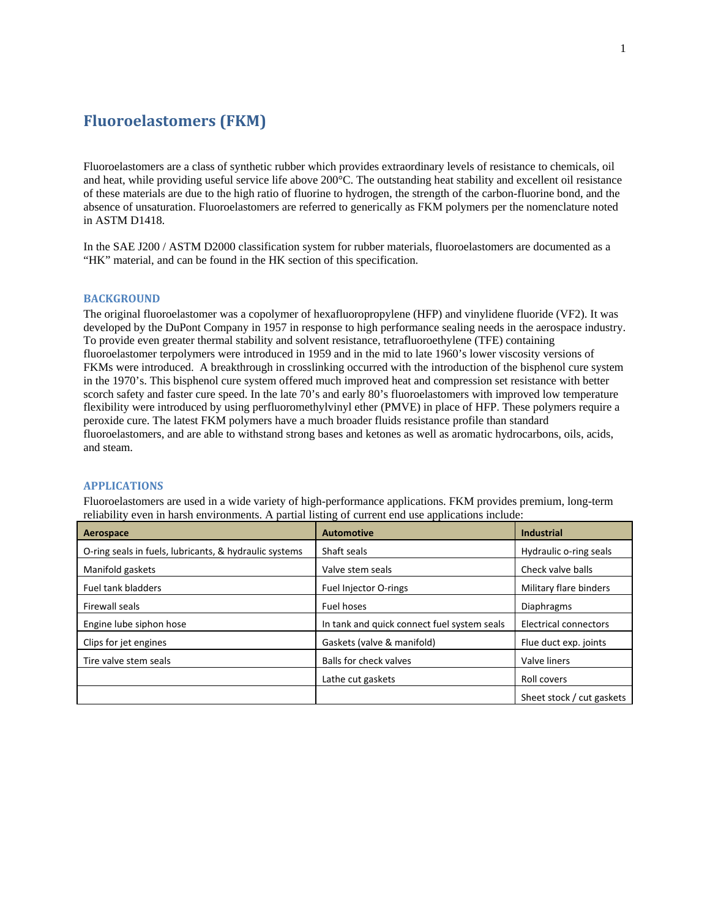# **Fluoroelastomers (FKM)**

Fluoroelastomers are a class of synthetic rubber which provides extraordinary levels of resistance to chemicals, oil and heat, while providing useful service life above 200°C. The outstanding heat stability and excellent oil resistance of these materials are due to the high ratio of fluorine to hydrogen, the strength of the carbon-fluorine bond, and the absence of unsaturation. Fluoroelastomers are referred to generically as FKM polymers per the nomenclature noted in ASTM D1418.

In the SAE J200 / ASTM D2000 classification system for rubber materials, fluoroelastomers are documented as a "HK" material, and can be found in the HK section of this specification.

# **BACKGROUND**

The original fluoroelastomer was a copolymer of hexafluoropropylene (HFP) and vinylidene fluoride (VF2). It was developed by the DuPont Company in 1957 in response to high performance sealing needs in the aerospace industry. To provide even greater thermal stability and solvent resistance, tetrafluoroethylene (TFE) containing fluoroelastomer terpolymers were introduced in 1959 and in the mid to late 1960's lower viscosity versions of FKMs were introduced. A breakthrough in crosslinking occurred with the introduction of the bisphenol cure system in the 1970's. This bisphenol cure system offered much improved heat and compression set resistance with better scorch safety and faster cure speed. In the late 70's and early 80's fluoroelastomers with improved low temperature flexibility were introduced by using perfluoromethylvinyl ether (PMVE) in place of HFP. These polymers require a peroxide cure. The latest FKM polymers have a much broader fluids resistance profile than standard fluoroelastomers, and are able to withstand strong bases and ketones as well as aromatic hydrocarbons, oils, acids, and steam.

# **APPLICATIONS**

Fluoroelastomers are used in a wide variety of high-performance applications. FKM provides premium, long-term reliability even in harsh environments. A partial listing of current end use applications include:

| Aerospace                                              | <b>Automotive</b>                           | <b>Industrial</b>         |
|--------------------------------------------------------|---------------------------------------------|---------------------------|
| O-ring seals in fuels, lubricants, & hydraulic systems | Shaft seals                                 | Hydraulic o-ring seals    |
| Manifold gaskets                                       | Valve stem seals                            | Check valve balls         |
| <b>Fuel tank bladders</b>                              | Fuel Injector O-rings                       | Military flare binders    |
| Firewall seals                                         | <b>Fuel hoses</b>                           | <b>Diaphragms</b>         |
| Engine lube siphon hose                                | In tank and quick connect fuel system seals | Electrical connectors     |
| Clips for jet engines                                  | Gaskets (valve & manifold)                  | Flue duct exp. joints     |
| Tire valve stem seals                                  | Balls for check valves                      | Valve liners              |
|                                                        | Lathe cut gaskets                           | Roll covers               |
|                                                        |                                             | Sheet stock / cut gaskets |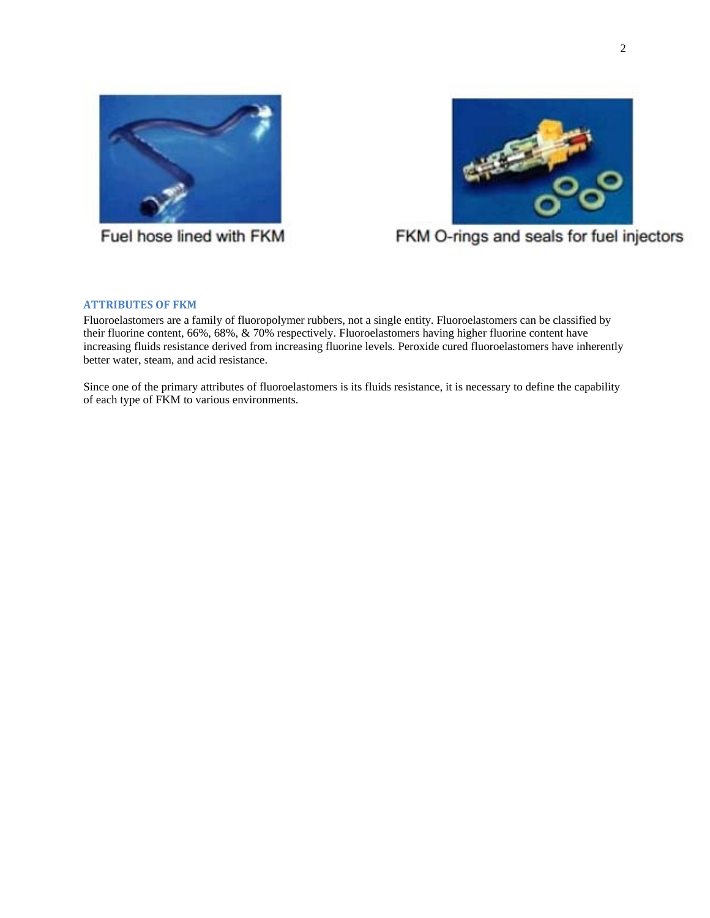



Fuel hose lined with FKM

FKM O-rings and seals for fuel injectors

# **ATTRIBUTES OF FKM**

Fluoroelastomers are a family of fluoropolymer rubbers, not a single entity. Fluoroelastomers can be classified by their fluorine content, 66%, 68%, & 70% respectively. Fluoroelastomers having higher fluorine content have increasing fluids resistance derived from increasing fluorine levels. Peroxide cured fluoroelastomers have inherently better water, steam, and acid resistance.

Since one of the primary attributes of fluoroelastomers is its fluids resistance, it is necessary to define the capability of each type of FKM to various environments.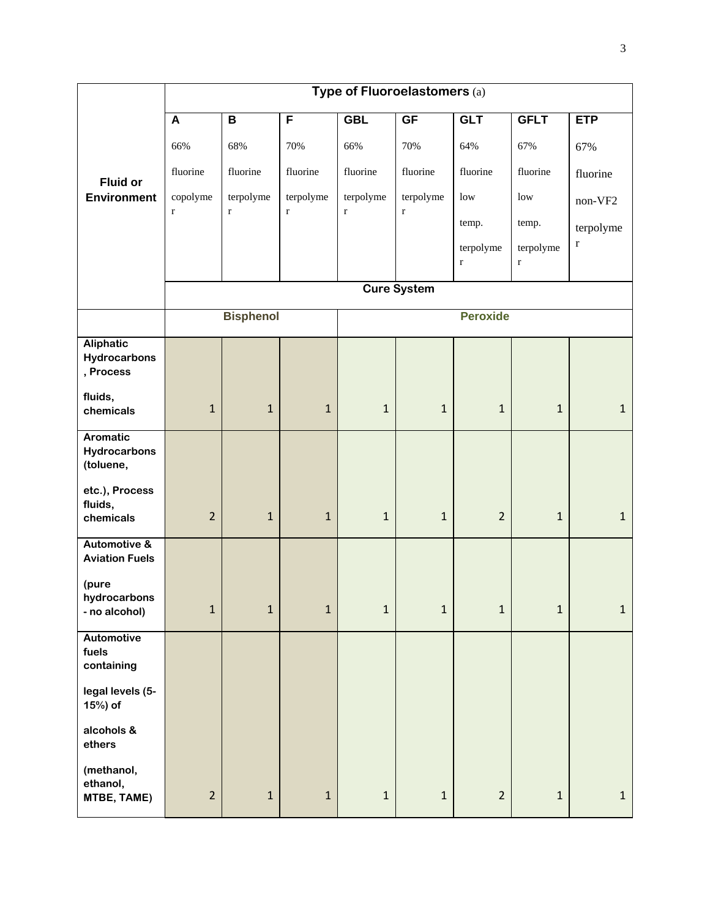|                                                  | Type of Fluoroelastomers (a) |                          |                          |                          |                          |                          |                          |                          |  |
|--------------------------------------------------|------------------------------|--------------------------|--------------------------|--------------------------|--------------------------|--------------------------|--------------------------|--------------------------|--|
|                                                  | $\boldsymbol{A}$             | $\mathbf B$              | F                        | <b>GBL</b>               | <b>GF</b>                | <b>GLT</b>               | <b>GFLT</b>              | <b>ETP</b>               |  |
|                                                  | 66%                          | 68%                      | 70%                      | 66%                      | 70%                      | 64%                      | 67%                      | 67%                      |  |
| <b>Fluid or</b>                                  | fluorine                     | fluorine                 | fluorine                 | fluorine                 | fluorine                 | fluorine                 | fluorine                 | fluorine                 |  |
| <b>Environment</b>                               | copolyme<br>$\mathbf r$      | terpolyme<br>$\mathbf r$ | terpolyme<br>$\mathbf r$ | terpolyme<br>$\mathbf r$ | terpolyme<br>$\mathbf r$ | $_{\text{low}}$          | low                      | non-VF2                  |  |
|                                                  |                              |                          |                          |                          |                          | temp.                    | temp.                    | terpolyme<br>$\mathbf r$ |  |
|                                                  |                              |                          |                          |                          |                          | terpolyme<br>$\mathbf r$ | terpolyme<br>$\mathbf r$ |                          |  |
|                                                  |                              | <b>Cure System</b>       |                          |                          |                          |                          |                          |                          |  |
|                                                  |                              | <b>Bisphenol</b>         |                          |                          |                          | <b>Peroxide</b>          |                          |                          |  |
|                                                  |                              |                          |                          |                          |                          |                          |                          |                          |  |
| <b>Aliphatic</b><br>Hydrocarbons<br>, Process    |                              |                          |                          |                          |                          |                          |                          |                          |  |
| fluids,<br>chemicals                             | $\mathbf 1$                  | $\mathbf 1$              | $1\,$                    | $\mathbf 1$              | $1\,$                    | $\mathbf{1}$             | $\mathbf{1}$             | $\mathbf{1}$             |  |
| <b>Aromatic</b><br>Hydrocarbons<br>(toluene,     |                              |                          |                          |                          |                          |                          |                          |                          |  |
| etc.), Process<br>fluids,<br>chemicals           | $\overline{2}$               | $\mathbf{1}$             | $\mathbf 1$              | $\mathbf 1$              | $\mathbf{1}$             | $\overline{2}$           | $\mathbf{1}$             | 1                        |  |
| <b>Automotive &amp;</b><br><b>Aviation Fuels</b> |                              |                          |                          |                          |                          |                          |                          |                          |  |
| (pure                                            |                              |                          |                          |                          |                          |                          |                          |                          |  |
| hydrocarbons<br>- no alcohol)                    | $\mathbf 1$                  | $\mathbf 1$              | $\mathbf 1$              | $\mathbf 1$              | $\mathbf 1$              | $\mathbf{1}$             | $\mathbf{1}$             | $\mathbf{1}$             |  |
| <b>Automotive</b>                                |                              |                          |                          |                          |                          |                          |                          |                          |  |
| fuels<br>containing                              |                              |                          |                          |                          |                          |                          |                          |                          |  |
| legal levels (5-<br>15%) of                      |                              |                          |                          |                          |                          |                          |                          |                          |  |
| alcohols &<br>ethers                             |                              |                          |                          |                          |                          |                          |                          |                          |  |
| (methanol,<br>ethanol,<br>MTBE, TAME)            | $\overline{2}$               | $\mathbf 1$              | $\mathbf 1$              | $\mathbf{1}$             | $\mathbf 1$              | $\overline{2}$           | $\mathbf 1$              | $\mathbf{1}$             |  |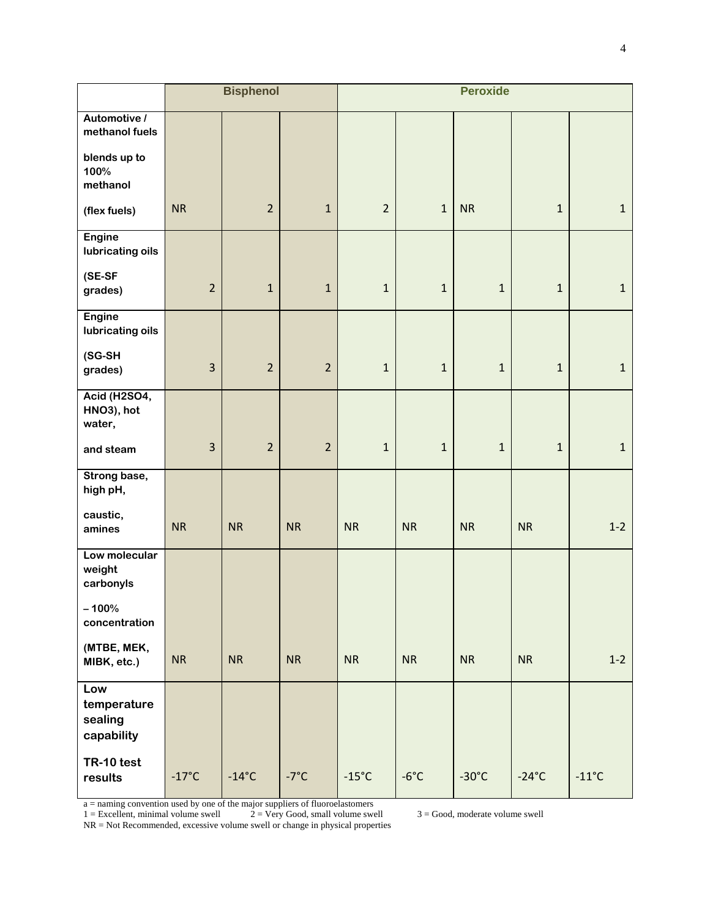|                                             | <b>Bisphenol</b> |                 | <b>Peroxide</b> |                 |                |                 |                 |                |
|---------------------------------------------|------------------|-----------------|-----------------|-----------------|----------------|-----------------|-----------------|----------------|
| Automotive /<br>methanol fuels              |                  |                 |                 |                 |                |                 |                 |                |
| blends up to<br>100%<br>methanol            |                  |                 |                 |                 |                |                 |                 |                |
| (flex fuels)                                | <b>NR</b>        | $\overline{2}$  | $\mathbf 1$     | $\overline{2}$  | $\mathbf 1$    | <b>NR</b>       | $\mathbf{1}$    | $1\,$          |
| <b>Engine</b><br>lubricating oils           |                  |                 |                 |                 |                |                 |                 |                |
| (SE-SF<br>grades)                           | $\overline{2}$   | $\mathbf{1}$    | $\mathbf{1}$    | $\mathbf{1}$    | $\mathbf{1}$   | $\mathbf{1}$    | $\mathbf{1}$    | 1              |
| <b>Engine</b><br>lubricating oils           |                  |                 |                 |                 |                |                 |                 |                |
| (SG-SH<br>grades)                           | 3                | $\overline{2}$  | $\overline{2}$  | $\mathbf{1}$    | $\mathbf{1}$   | $\mathbf{1}$    | $\mathbf{1}$    | 1              |
| <b>Acid (H2SO4,</b><br>HNO3), hot<br>water, |                  |                 |                 |                 |                |                 |                 |                |
| and steam                                   | $\overline{3}$   | $\overline{2}$  | $\overline{2}$  | $\mathbf{1}$    | $\mathbf{1}$   | $\mathbf{1}$    | $\mathbf{1}$    | 1              |
| Strong base,<br>high pH,                    |                  |                 |                 |                 |                |                 |                 |                |
| caustic,<br>amines                          | <b>NR</b>        | <b>NR</b>       | <b>NR</b>       | <b>NR</b>       | <b>NR</b>      | <b>NR</b>       | <b>NR</b>       | $1-2$          |
| Low molecular<br>weight<br>carbonyls        |                  |                 |                 |                 |                |                 |                 |                |
| $-100%$<br>concentration                    |                  |                 |                 |                 |                |                 |                 |                |
| (MTBE, MEK,<br>MIBK, etc.)                  | <b>NR</b>        | <b>NR</b>       | <b>NR</b>       | <b>NR</b>       | <b>NR</b>      | <b>NR</b>       | <b>NR</b>       | $1-2$          |
| Low<br>temperature<br>sealing<br>capability |                  |                 |                 |                 |                |                 |                 |                |
| TR-10 test<br>results                       | $-17^{\circ}$ C  | $-14^{\circ}$ C | $-7^{\circ}$ C  | $-15^{\circ}$ C | $-6^{\circ}$ C | $-30^{\circ}$ C | $-24^{\circ}$ C | $-11^{\circ}C$ |

a = naming convention used by one of the major suppliers of fluoroelastomers

 $1 =$  Excellent, minimal volume swell  $2 =$  Very Good, small volume swell  $3 =$  Good, moderate volume swell

NR = Not Recommended, excessive volume swell or change in physical properties